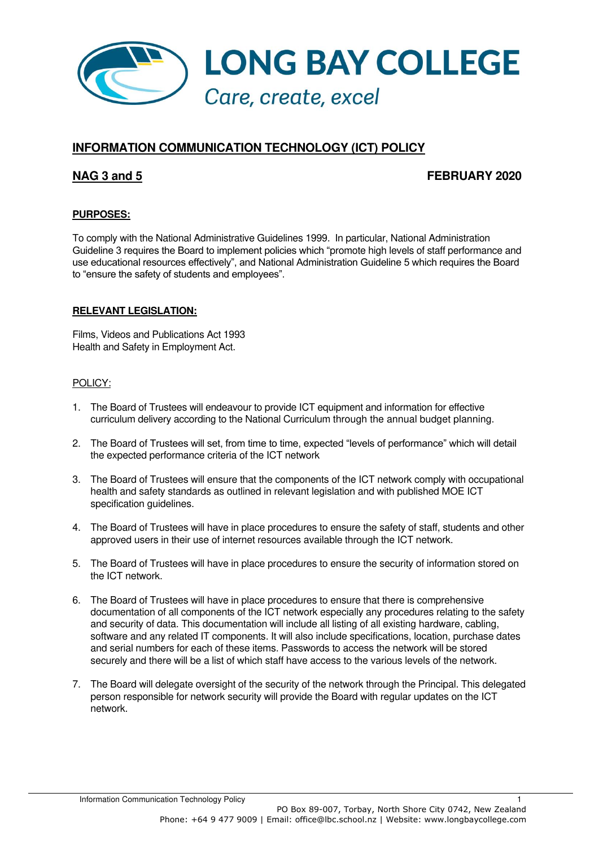

# **INFORMATION COMMUNICATION TECHNOLOGY (ICT) POLICY**

# **NAG 3 and 5 FEBRUARY 2020**

## **PURPOSES:**

To comply with the National Administrative Guidelines 1999. In particular, National Administration Guideline 3 requires the Board to implement policies which "promote high levels of staff performance and use educational resources effectively", and National Administration Guideline 5 which requires the Board to "ensure the safety of students and employees".

#### **RELEVANT LEGISLATION:**

Films, Videos and Publications Act 1993 Health and Safety in Employment Act.

#### POLICY:

- 1. The Board of Trustees will endeavour to provide ICT equipment and information for effective curriculum delivery according to the National Curriculum through the annual budget planning.
- 2. The Board of Trustees will set, from time to time, expected "levels of performance" which will detail the expected performance criteria of the ICT network
- 3. The Board of Trustees will ensure that the components of the ICT network comply with occupational health and safety standards as outlined in relevant legislation and with published MOE ICT specification guidelines.
- 4. The Board of Trustees will have in place procedures to ensure the safety of staff, students and other approved users in their use of internet resources available through the ICT network.
- 5. The Board of Trustees will have in place procedures to ensure the security of information stored on the ICT network.
- 6. The Board of Trustees will have in place procedures to ensure that there is comprehensive documentation of all components of the ICT network especially any procedures relating to the safety and security of data. This documentation will include all listing of all existing hardware, cabling, software and any related IT components. It will also include specifications, location, purchase dates and serial numbers for each of these items. Passwords to access the network will be stored securely and there will be a list of which staff have access to the various levels of the network.
- 7. The Board will delegate oversight of the security of the network through the Principal. This delegated person responsible for network security will provide the Board with regular updates on the ICT network.

Information Communication Technology Policy 1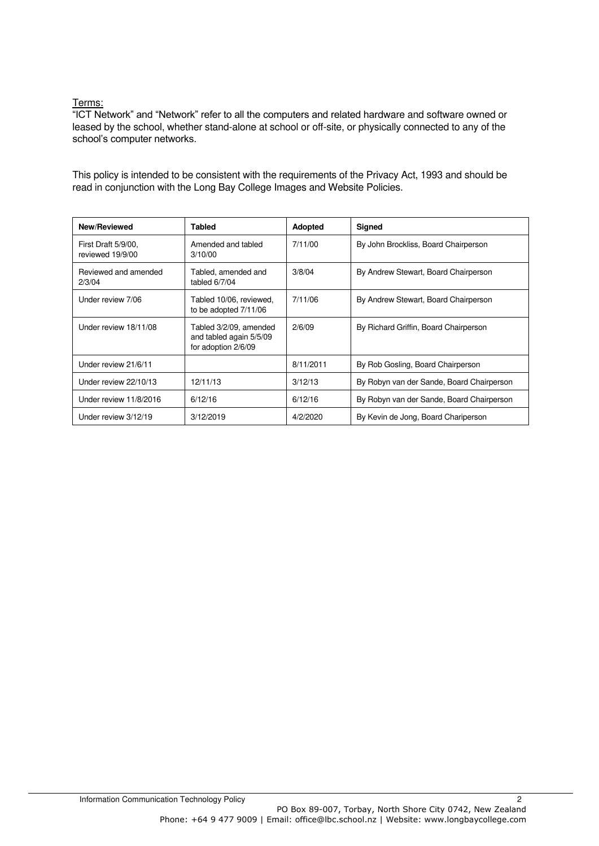# Terms:

"ICT Network" and "Network" refer to all the computers and related hardware and software owned or leased by the school, whether stand-alone at school or off-site, or physically connected to any of the school's computer networks.

This policy is intended to be consistent with the requirements of the Privacy Act, 1993 and should be read in conjunction with the Long Bay College Images and Website Policies.

| <b>New/Reviewed</b>                     | Tabled                                                                   | Adopted   | Signed                                    |
|-----------------------------------------|--------------------------------------------------------------------------|-----------|-------------------------------------------|
| First Draft 5/9/00.<br>reviewed 19/9/00 | Amended and tabled<br>3/10/00                                            | 7/11/00   | By John Brockliss, Board Chairperson      |
| Reviewed and amended<br>2/3/04          | Tabled, amended and<br>tabled $6/7/04$                                   | 3/8/04    | By Andrew Stewart, Board Chairperson      |
| Under review 7/06                       | Tabled 10/06, reviewed,<br>to be adopted 7/11/06                         | 7/11/06   | By Andrew Stewart, Board Chairperson      |
| Under review 18/11/08                   | Tabled 3/2/09, amended<br>and tabled again 5/5/09<br>for adoption 2/6/09 | 2/6/09    | By Richard Griffin, Board Chairperson     |
| Under review 21/6/11                    |                                                                          | 8/11/2011 | By Rob Gosling, Board Chairperson         |
| Under review 22/10/13                   | 12/11/13                                                                 | 3/12/13   | By Robyn van der Sande, Board Chairperson |
| Under review 11/8/2016                  | 6/12/16                                                                  | 6/12/16   | By Robyn van der Sande, Board Chairperson |
| Under review 3/12/19                    | 3/12/2019                                                                | 4/2/2020  | By Kevin de Jong, Board Chariperson       |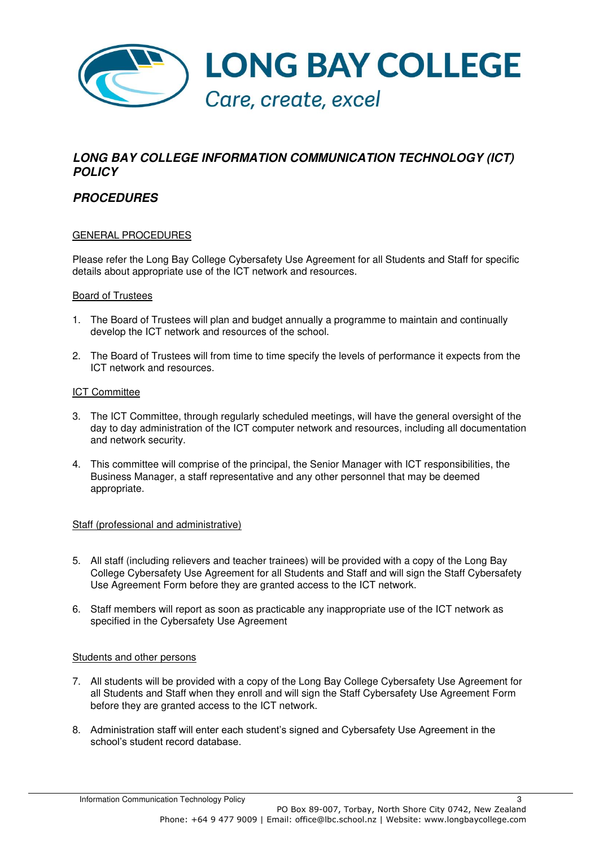

# **LONG BAY COLLEGE INFORMATION COMMUNICATION TECHNOLOGY (ICT) POLICY**

# **PROCEDURES**

## GENERAL PROCEDURES

Please refer the Long Bay College Cybersafety Use Agreement for all Students and Staff for specific details about appropriate use of the ICT network and resources.

#### Board of Trustees

- 1. The Board of Trustees will plan and budget annually a programme to maintain and continually develop the ICT network and resources of the school.
- 2. The Board of Trustees will from time to time specify the levels of performance it expects from the ICT network and resources.

#### ICT Committee

- 3. The ICT Committee, through regularly scheduled meetings, will have the general oversight of the day to day administration of the ICT computer network and resources, including all documentation and network security.
- 4. This committee will comprise of the principal, the Senior Manager with ICT responsibilities, the Business Manager, a staff representative and any other personnel that may be deemed appropriate.

#### Staff (professional and administrative)

- 5. All staff (including relievers and teacher trainees) will be provided with a copy of the Long Bay College Cybersafety Use Agreement for all Students and Staff and will sign the Staff Cybersafety Use Agreement Form before they are granted access to the ICT network.
- 6. Staff members will report as soon as practicable any inappropriate use of the ICT network as specified in the Cybersafety Use Agreement

#### Students and other persons

- 7. All students will be provided with a copy of the Long Bay College Cybersafety Use Agreement for all Students and Staff when they enroll and will sign the Staff Cybersafety Use Agreement Form before they are granted access to the ICT network.
- 8. Administration staff will enter each student's signed and Cybersafety Use Agreement in the school's student record database.

Information Communication Technology Policy 3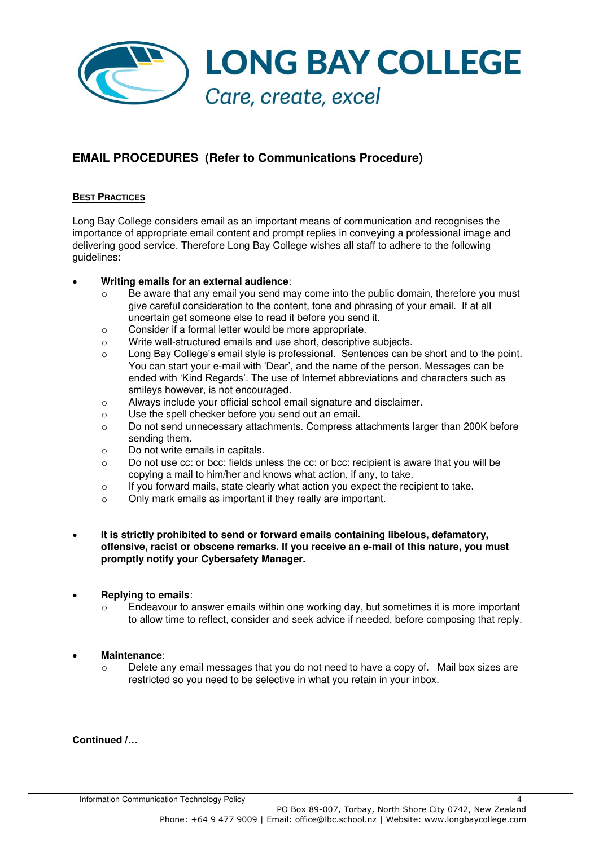

# **EMAIL PROCEDURES (Refer to Communications Procedure)**

## **BEST PRACTICES**

Long Bay College considers email as an important means of communication and recognises the importance of appropriate email content and prompt replies in conveying a professional image and delivering good service. Therefore Long Bay College wishes all staff to adhere to the following guidelines:

## • **Writing emails for an external audience**:

- $\circ$  Be aware that any email you send may come into the public domain, therefore you must give careful consideration to the content, tone and phrasing of your email. If at all uncertain get someone else to read it before you send it.
- o Consider if a formal letter would be more appropriate.
- o Write well-structured emails and use short, descriptive subjects.
- o Long Bay College's email style is professional. Sentences can be short and to the point. You can start your e-mail with 'Dear', and the name of the person. Messages can be ended with 'Kind Regards'. The use of Internet abbreviations and characters such as smileys however, is not encouraged.
- o Always include your official school email signature and disclaimer.
- o Use the spell checker before you send out an email.
- o Do not send unnecessary attachments. Compress attachments larger than 200K before sending them.
- o Do not write emails in capitals.
- $\circ$  Do not use cc: or bcc: fields unless the cc: or bcc: recipient is aware that you will be copying a mail to him/her and knows what action, if any, to take.
- $\circ$  If you forward mails, state clearly what action you expect the recipient to take.
- o Only mark emails as important if they really are important.
- **It is strictly prohibited to send or forward emails containing libelous, defamatory, offensive, racist or obscene remarks. If you receive an e-mail of this nature, you must promptly notify your Cybersafety Manager.**

## • **Replying to emails**:

Endeavour to answer emails within one working day, but sometimes it is more important to allow time to reflect, consider and seek advice if needed, before composing that reply.

#### • **Maintenance**:

Delete any email messages that you do not need to have a copy of. Mail box sizes are restricted so you need to be selective in what you retain in your inbox.

**Continued /…**

Information Communication Technology Policy 4